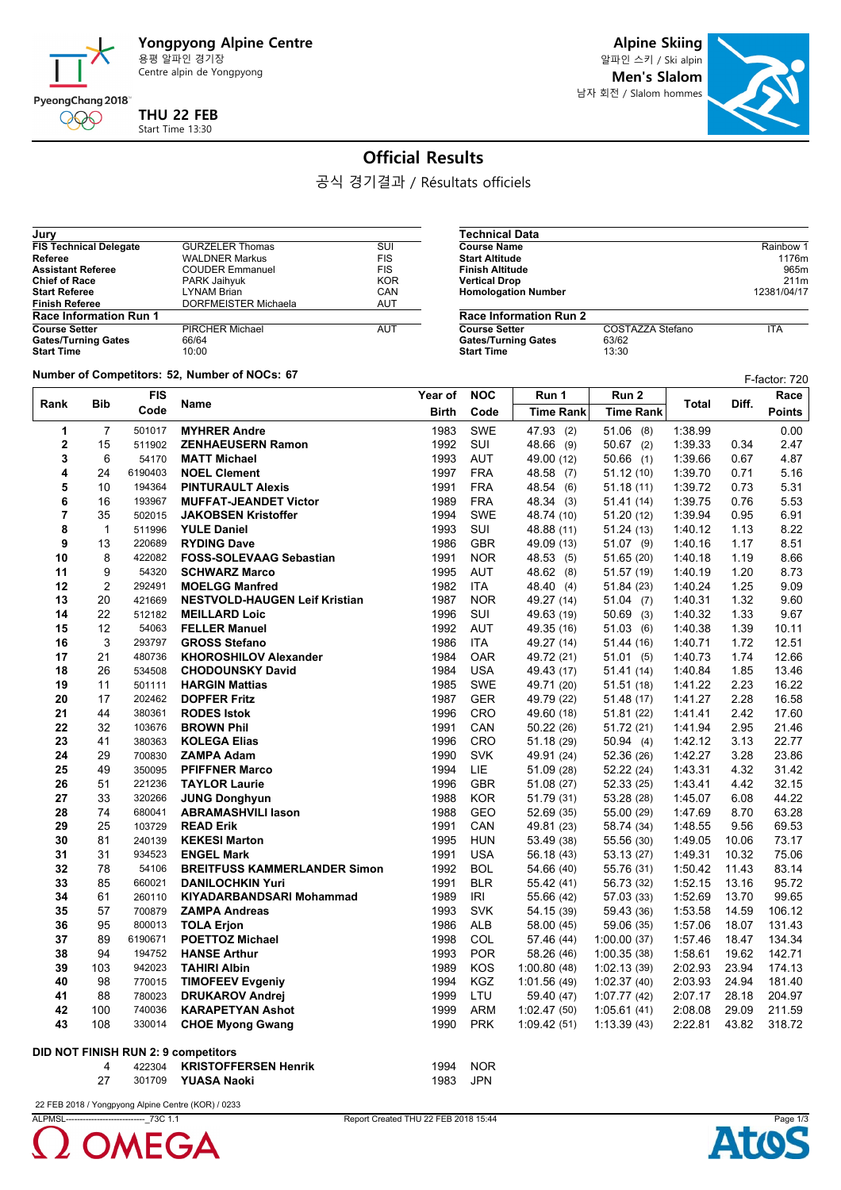

Centre alpin de Yongpyong

**Alpine Skiing**

**Men's Slalom**

**Course Name** Rainbow 1<br> **Course Name** Rainbow 1<br> **Course Name** Rainbow 1<br> **Course Name** 1176m **Start Altitude 1176m**<br> **Start Altitude 1176m**<br> **Finish Altitude** 965m **Finish Altitude** 965m<br> **Partical Drop**<br>
211m **Vertical Drop** 211m

**COSTAZZA Stefano** ITA<br>63/62<br>13:30



## **Official Results**

공식 경기결과 / Résultats officiels

**Technical Data**

**Homologation Number** 

**Gates/Turning Gates Start Time** 

**Race Information Run 2**

| Jury                          |                        |            |
|-------------------------------|------------------------|------------|
| <b>FIS Technical Delegate</b> | <b>GURZELER Thomas</b> | SUI        |
| Referee                       | <b>WALDNER Markus</b>  | <b>FIS</b> |
| <b>Assistant Referee</b>      | <b>COUDER Emmanuel</b> | <b>FIS</b> |
| <b>Chief of Race</b>          | PARK Jaihyuk           | <b>KOR</b> |
| <b>Start Referee</b>          | <b>LYNAM Brian</b>     | CAN        |
| <b>Finish Referee</b>         | DORFMEISTER Michaela   | <b>AUT</b> |
| <b>Race Information Run 1</b> |                        |            |
| <b>Course Setter</b>          | <b>PIRCHER Michael</b> | AUT        |
| <b>Gates/Turning Gates</b>    | 66/64                  |            |
| <b>Start Time</b>             | 10:00                  |            |

**Number of Competitors: 52, Number of NOCs: 67** 

| $r$ and $r$ or $r$ competitors. $v$ , is an interval or $r$<br>F-factor: 720 |                |            |                                      |              |            |                  |                  |         |       |               |
|------------------------------------------------------------------------------|----------------|------------|--------------------------------------|--------------|------------|------------------|------------------|---------|-------|---------------|
| Rank                                                                         | <b>Bib</b>     | <b>FIS</b> | Name                                 | Year of      | <b>NOC</b> | Run 1            | Run 2            | Total   | Diff. | Race          |
|                                                                              |                | Code       |                                      | <b>Birth</b> | Code       | <b>Time Rank</b> | <b>Time Rank</b> |         |       | <b>Points</b> |
| 1                                                                            | $\overline{7}$ | 501017     | <b>MYHRER Andre</b>                  | 1983         | <b>SWE</b> | 47.93 (2)        | $51.06$ (8)      | 1:38.99 |       | 0.00          |
| $\mathbf 2$                                                                  | 15             | 511902     | <b>ZENHAEUSERN Ramon</b>             | 1992         | SUI        | 48.66 (9)        | $50.67$ (2)      | 1:39.33 | 0.34  | 2.47          |
| 3                                                                            | 6              | 54170      | <b>MATT Michael</b>                  |              | <b>AUT</b> | 49.00 (12)       | $50.66$ (1)      | 1:39.66 | 0.67  | 4.87          |
| 4                                                                            | 24             | 6190403    | <b>NOEL Clement</b>                  | 1997         | <b>FRA</b> | 48.58 (7)        | 51.12(10)        | 1:39.70 | 0.71  | 5.16          |
| 5                                                                            | 10             | 194364     | <b>PINTURAULT Alexis</b>             | 1991         | <b>FRA</b> | 48.54 (6)        | 51.18(11)        | 1:39.72 | 0.73  | 5.31          |
| 6                                                                            | 16             | 193967     | <b>MUFFAT-JEANDET Victor</b>         | 1989         | <b>FRA</b> | 48.34 (3)        | 51.41 (14)       | 1:39.75 | 0.76  | 5.53          |
| $\overline{7}$                                                               | 35             | 502015     | <b>JAKOBSEN Kristoffer</b>           | 1994         | <b>SWE</b> | 48.74 (10)       | 51.20(12)        | 1:39.94 | 0.95  | 6.91          |
| 8                                                                            | $\mathbf{1}$   | 511996     | <b>YULE Daniel</b>                   | 1993         | SUI        | 48.88 (11)       | 51.24(13)        | 1:40.12 | 1.13  | 8.22          |
| 9                                                                            | 13             | 220689     | <b>RYDING Dave</b>                   | 1986         | <b>GBR</b> | 49.09 (13)       | $51.07$ (9)      | 1:40.16 | 1.17  | 8.51          |
| 10                                                                           | 8              | 422082     | <b>FOSS-SOLEVAAG Sebastian</b>       | 1991         | <b>NOR</b> | 48.53 (5)        | 51.65 (20)       | 1:40.18 | 1.19  | 8.66          |
| 11                                                                           | 9              | 54320      | <b>SCHWARZ Marco</b>                 | 1995         | <b>AUT</b> | 48.62 (8)        | 51.57 (19)       | 1:40.19 | 1.20  | 8.73          |
| 12                                                                           | $\overline{2}$ | 292491     | <b>MOELGG Manfred</b>                | 1982         | <b>ITA</b> | 48.40 (4)        | 51.84 (23)       | 1:40.24 | 1.25  | 9.09          |
| 13                                                                           | 20             | 421669     | <b>NESTVOLD-HAUGEN Leif Kristian</b> | 1987         | <b>NOR</b> | 49.27 (14)       | 51.04(7)         | 1:40.31 | 1.32  | 9.60          |
| 14                                                                           | 22             | 512182     | <b>MEILLARD Loic</b>                 | 1996         | SUI        | 49.63 (19)       | 50.69(3)         | 1:40.32 | 1.33  | 9.67          |
| 15                                                                           | 12             | 54063      | <b>FELLER Manuel</b>                 | 1992         | <b>AUT</b> | 49.35 (16)       | 51.03(6)         | 1:40.38 | 1.39  | 10.11         |
| 16                                                                           | 3              | 293797     | <b>GROSS Stefano</b>                 | 1986         | <b>ITA</b> | 49.27 (14)       | 51.44 (16)       | 1:40.71 | 1.72  | 12.51         |
| 17                                                                           | 21             | 480736     | <b>KHOROSHILOV Alexander</b>         | 1984         | <b>OAR</b> | 49.72 (21)       | 51.01(5)         | 1:40.73 | 1.74  | 12.66         |
| 18                                                                           | 26             | 534508     | <b>CHODOUNSKY David</b>              | 1984         | <b>USA</b> | 49.43 (17)       | 51.41 (14)       | 1:40.84 | 1.85  | 13.46         |
| 19                                                                           | 11             | 501111     | <b>HARGIN Mattias</b>                | 1985         | <b>SWE</b> | 49.71 (20)       | 51.51 (18)       | 1:41.22 | 2.23  | 16.22         |
| 20                                                                           | 17             | 202462     | <b>DOPFER Fritz</b>                  | 1987         | <b>GER</b> | 49.79 (22)       | 51.48(17)        | 1:41.27 | 2.28  | 16.58         |
| 21                                                                           | 44             | 380361     | <b>RODES Istok</b>                   | 1996         | <b>CRO</b> | 49.60 (18)       | 51.81(22)        | 141.41  | 2.42  | 17.60         |
| 22                                                                           | 32             | 103676     | <b>BROWN Phil</b>                    | 1991         | CAN        | 50.22 (26)       | 51.72(21)        | 1:41.94 | 2.95  | 21.46         |
| 23                                                                           | 41             | 380363     | <b>KOLEGA Elias</b>                  | 1996         | CRO        | 51.18 (29)       | 50.94 (4)        | 1:42.12 | 3.13  | 22.77         |
| 24                                                                           | 29             | 700830     | <b>ZAMPA Adam</b>                    | 1990         | <b>SVK</b> | 49.91 (24)       | 52.36 (26)       | 1:42.27 | 3.28  | 23.86         |
| 25                                                                           | 49             | 350095     | <b>PFIFFNER Marco</b>                | 1994         | LIE.       | 51.09 (28)       | 52.22 (24)       | 1:43.31 | 4.32  | 31.42         |
| 26                                                                           | 51             | 221236     | <b>TAYLOR Laurie</b>                 | 1996         | <b>GBR</b> | 51.08(27)        | 52.33(25)        | 1:43.41 | 4.42  | 32.15         |
| 27                                                                           | 33             | 320266     | <b>JUNG Donghyun</b>                 | 1988         | <b>KOR</b> | 51.79 (31)       | 53.28 (28)       | 1:45.07 | 6.08  | 44.22         |
| 28                                                                           | 74             | 680041     | <b>ABRAMASHVILI lason</b>            | 1988         | GEO        | 52.69 (35)       | 55.00 (29)       | 1:47.69 | 8.70  | 63.28         |
| 29                                                                           | 25             | 103729     | <b>READ Erik</b>                     | 1991         | CAN        | 49.81 (23)       | 58.74 (34)       | 1:48.55 | 9.56  | 69.53         |
| 30                                                                           | 81             | 240139     | <b>KEKESI Marton</b>                 | 1995         | <b>HUN</b> | 53.49 (38)       | 55.56 (30)       | 1:49.05 | 10.06 | 73.17         |
| 31                                                                           | 31             | 934523     | <b>ENGEL Mark</b>                    | 1991         | <b>USA</b> | 56.18 (43)       | 53.13 (27)       | 1.49.31 | 10.32 | 75.06         |
| 32                                                                           | 78             | 54106      | <b>BREITFUSS KAMMERLANDER Simon</b>  | 1992         | <b>BOL</b> | 54.66 (40)       | 55.76 (31)       | 1:50.42 | 11.43 | 83.14         |
| 33                                                                           | 85             | 660021     | <b>DANILOCHKIN Yuri</b>              | 1991         | <b>BLR</b> | 55.42 (41)       | 56.73 (32)       | 1:52.15 | 13.16 | 95.72         |
| 34                                                                           | 61             | 260110     | <b>KIYADARBANDSARI Mohammad</b>      | 1989         | <b>IRI</b> | 55.66 (42)       | 57.03 (33)       | 1:52.69 | 13.70 | 99.65         |
| 35                                                                           | 57             | 700879     | <b>ZAMPA Andreas</b>                 | 1993         | <b>SVK</b> | 54.15 (39)       | 59.43 (36)       | 1:53.58 | 14.59 | 106.12        |
| 36                                                                           | 95             | 800013     | <b>TOLA Erjon</b>                    | 1986         | <b>ALB</b> | 58.00 (45)       | 59.06 (35)       | 1:57.06 | 18.07 | 131.43        |
| 37                                                                           | 89             | 6190671    | <b>POETTOZ Michael</b>               | 1998         | <b>COL</b> | 57.46 (44)       | 1:00.00(37)      | 1:57.46 | 18.47 | 134.34        |
| 38                                                                           | 94             | 194752     | <b>HANSE Arthur</b>                  | 1993         | <b>POR</b> | 58.26 (46)       | 1:00.35(38)      | 1:58.61 | 19.62 | 142.71        |
| 39                                                                           | 103            | 942023     | <b>TAHIRI Albin</b>                  | 1989         | KOS        | 1:00.80(48)      | 1:02.13(39)      | 2:02.93 | 23.94 | 174.13        |
| 40                                                                           | 98             | 770015     | <b>TIMOFEEV Evgeniy</b>              | 1994         | <b>KGZ</b> | 1:01.56(49)      | 1:02.37(40)      | 2:03.93 | 24.94 | 181.40        |
| 41                                                                           | 88             | 780023     | <b>DRUKAROV Andrej</b>               | 1999         | LTU        | 59.40 (47)       | 1:07.77(42)      | 2:07.17 | 28.18 | 204.97        |
| 42                                                                           | 100            | 740036     | <b>KARAPETYAN Ashot</b>              | 1999         | ARM        | 1:02.47(50)      | 1:05.61(41)      | 2:08.08 | 29.09 | 211.59        |
| 43                                                                           | 108            | 330014     | <b>CHOE Myong Gwang</b>              | 1990         | <b>PRK</b> | 1.09.42(51)      | 1:13.39(43)      | 2:22.81 | 43.82 | 318.72        |
|                                                                              |                |            |                                      |              |            |                  |                  |         |       |               |
|                                                                              |                |            | DID NOT FINISH RUN 2: 9 competitors  |              |            |                  |                  |         |       |               |
|                                                                              | 4              | 422304     | <b>KRISTOFFERSEN Henrik</b>          | 1994         | <b>NOR</b> |                  |                  |         |       |               |
|                                                                              | 27             | 301709     | <b>YUASA Naoki</b>                   | 1983         | <b>JPN</b> |                  |                  |         |       |               |

22 FEB 2018 / Yongpyong Alpine Centre (KOR) / 0233



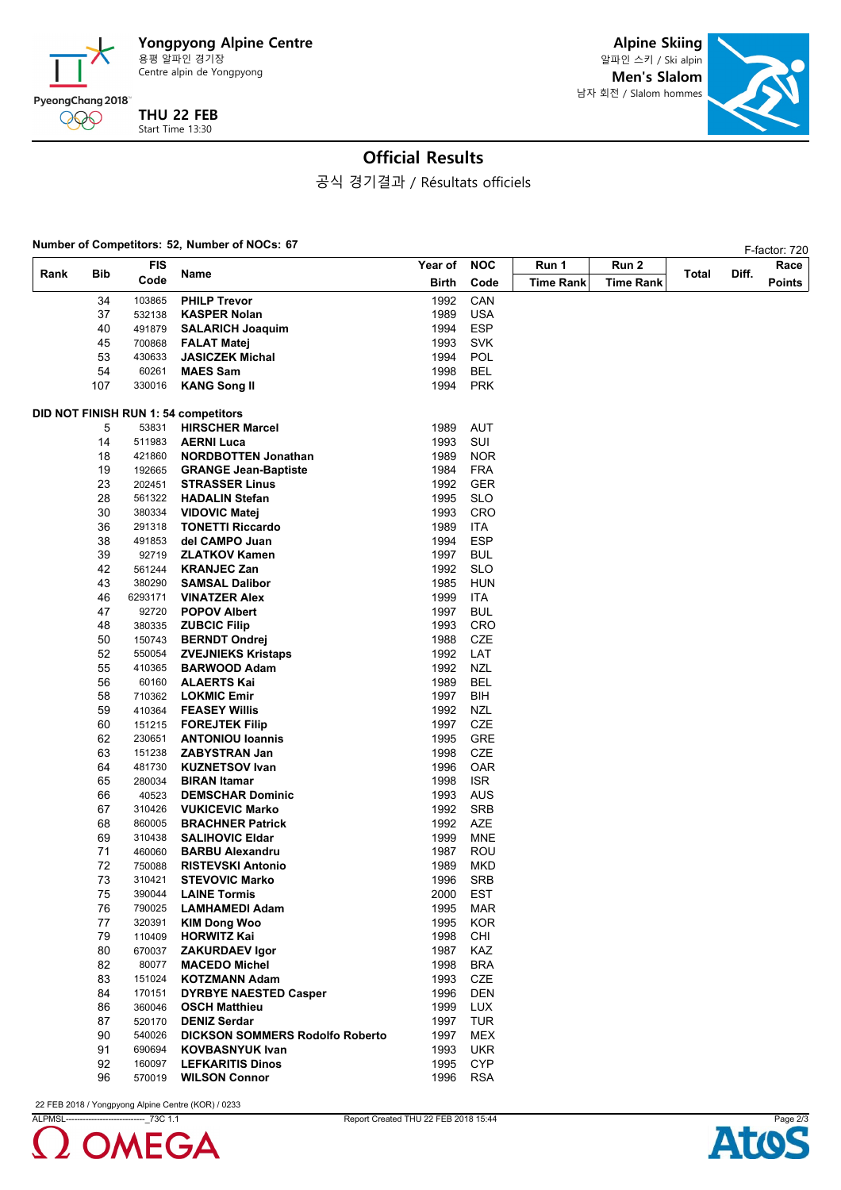

**THU 22 FEB** Start Time 13:30

**Alpine Skiing** 알파인 스키 / Ski alpin **Men's Slalom** 남자 회전 / Slalom hommes



## **Official Results**

공식 경기결과 / Résultats officiels

### **Number of Competitors: 52, Number of NOCs: 67<br>
F-factor: 720**

| <b>FIS</b><br>Rank<br>Bib<br>Code |     |         |                                        | Year of      | <b>NOC</b><br>Code | Run 1            | Run 2            | Total |       | 1 -190101. <i>1 L</i><br>Race |
|-----------------------------------|-----|---------|----------------------------------------|--------------|--------------------|------------------|------------------|-------|-------|-------------------------------|
|                                   |     |         | Name                                   | <b>Birth</b> |                    | <b>Time Rank</b> | <b>Time Rank</b> |       | Diff. | <b>Points</b>                 |
|                                   |     |         |                                        |              |                    |                  |                  |       |       |                               |
|                                   | 34  | 103865  | <b>PHILP Trevor</b>                    | 1992         | CAN                |                  |                  |       |       |                               |
|                                   | 37  | 532138  | <b>KASPER Nolan</b>                    | 1989         | USA                |                  |                  |       |       |                               |
|                                   | 40  | 491879  | <b>SALARICH Joaquim</b>                | 1994         | <b>ESP</b>         |                  |                  |       |       |                               |
|                                   | 45  | 700868  | <b>FALAT Matej</b>                     | 1993         | <b>SVK</b>         |                  |                  |       |       |                               |
|                                   | 53  | 430633  | <b>JASICZEK Michal</b>                 | 1994         | <b>POL</b>         |                  |                  |       |       |                               |
|                                   | 54  | 60261   | <b>MAES Sam</b>                        | 1998         | <b>BEL</b>         |                  |                  |       |       |                               |
|                                   | 107 | 330016  | <b>KANG Song II</b>                    | 1994         | <b>PRK</b>         |                  |                  |       |       |                               |
|                                   |     |         | DID NOT FINISH RUN 1: 54 competitors   |              |                    |                  |                  |       |       |                               |
|                                   | 5   | 53831   | <b>HIRSCHER Marcel</b>                 | 1989         | <b>AUT</b>         |                  |                  |       |       |                               |
|                                   | 14  | 511983  | <b>AERNI Luca</b>                      | 1993         | SUI                |                  |                  |       |       |                               |
|                                   | 18  | 421860  | <b>NORDBOTTEN Jonathan</b>             | 1989         | <b>NOR</b>         |                  |                  |       |       |                               |
|                                   | 19  | 192665  | <b>GRANGE Jean-Baptiste</b>            | 1984         | <b>FRA</b>         |                  |                  |       |       |                               |
|                                   | 23  | 202451  | <b>STRASSER Linus</b>                  | 1992         | <b>GER</b>         |                  |                  |       |       |                               |
|                                   | 28  | 561322  | <b>HADALIN Stefan</b>                  | 1995         | <b>SLO</b>         |                  |                  |       |       |                               |
|                                   | 30  | 380334  | <b>VIDOVIC Matej</b>                   | 1993         | <b>CRO</b>         |                  |                  |       |       |                               |
|                                   | 36  | 291318  | <b>TONETTI Riccardo</b>                | 1989         | <b>ITA</b>         |                  |                  |       |       |                               |
|                                   | 38  | 491853  | del CAMPO Juan                         | 1994         | <b>ESP</b>         |                  |                  |       |       |                               |
|                                   | 39  | 92719   | <b>ZLATKOV Kamen</b>                   | 1997         | <b>BUL</b>         |                  |                  |       |       |                               |
|                                   | 42  | 561244  | <b>KRANJEC Zan</b>                     | 1992         | <b>SLO</b>         |                  |                  |       |       |                               |
|                                   | 43  | 380290  | <b>SAMSAL Dalibor</b>                  | 1985         | <b>HUN</b>         |                  |                  |       |       |                               |
|                                   | 46  | 6293171 | <b>VINATZER Alex</b>                   | 1999         | <b>ITA</b>         |                  |                  |       |       |                               |
|                                   | 47  | 92720   |                                        | 1997         | <b>BUL</b>         |                  |                  |       |       |                               |
|                                   |     |         | <b>POPOV Albert</b>                    |              |                    |                  |                  |       |       |                               |
|                                   | 48  | 380335  | <b>ZUBCIC Filip</b>                    | 1993         | CRO                |                  |                  |       |       |                               |
|                                   | 50  | 150743  | <b>BERNDT Ondrej</b>                   | 1988         | CZE                |                  |                  |       |       |                               |
|                                   | 52  | 550054  | <b>ZVEJNIEKS Kristaps</b>              | 1992         | LAT                |                  |                  |       |       |                               |
|                                   | 55  | 410365  | <b>BARWOOD Adam</b>                    | 1992         | <b>NZL</b>         |                  |                  |       |       |                               |
|                                   | 56  | 60160   | <b>ALAERTS Kai</b>                     | 1989         | <b>BEL</b>         |                  |                  |       |       |                               |
|                                   | 58  | 710362  | <b>LOKMIC Emir</b>                     | 1997         | BIH                |                  |                  |       |       |                               |
|                                   | 59  | 410364  | <b>FEASEY Willis</b>                   | 1992         | <b>NZL</b>         |                  |                  |       |       |                               |
|                                   | 60  | 151215  | <b>FOREJTEK Filip</b>                  | 1997         | CZE                |                  |                  |       |       |                               |
|                                   | 62  | 230651  | <b>ANTONIOU loannis</b>                | 1995         | <b>GRE</b>         |                  |                  |       |       |                               |
|                                   | 63  | 151238  | <b>ZABYSTRAN Jan</b>                   | 1998         | CZE                |                  |                  |       |       |                               |
|                                   | 64  | 481730  | <b>KUZNETSOV Ivan</b>                  | 1996         | <b>OAR</b>         |                  |                  |       |       |                               |
|                                   | 65  | 280034  | <b>BIRAN Itamar</b>                    | 1998         | ISR.               |                  |                  |       |       |                               |
|                                   | 66  | 40523   | <b>DEMSCHAR Dominic</b>                | 1993         | AUS                |                  |                  |       |       |                               |
|                                   | 67  | 310426  | <b>VUKICEVIC Marko</b>                 | 1992         | <b>SRB</b>         |                  |                  |       |       |                               |
|                                   | 68  | 860005  | <b>BRACHNER Patrick</b>                | 1992         | AZE                |                  |                  |       |       |                               |
|                                   | 69  | 310438  | <b>SALIHOVIC Eldar</b>                 | 1999         | <b>MNE</b>         |                  |                  |       |       |                               |
|                                   | 71  | 460060  | <b>BARBU Alexandru</b>                 | 1987         | <b>ROU</b>         |                  |                  |       |       |                               |
|                                   | 72  | 750088  | <b>RISTEVSKI Antonio</b>               | 1989         | MKD                |                  |                  |       |       |                               |
|                                   | 73  | 310421  | <b>STEVOVIC Marko</b>                  | 1996         | <b>SRB</b>         |                  |                  |       |       |                               |
|                                   | 75  | 390044  | <b>LAINE Tormis</b>                    | 2000         | <b>EST</b>         |                  |                  |       |       |                               |
|                                   | 76  | 790025  | <b>LAMHAMEDI Adam</b>                  | 1995         | <b>MAR</b>         |                  |                  |       |       |                               |
|                                   | 77  | 320391  | <b>KIM Dong Woo</b>                    | 1995         | <b>KOR</b>         |                  |                  |       |       |                               |
|                                   | 79  | 110409  | <b>HORWITZ Kai</b>                     | 1998         | <b>CHI</b>         |                  |                  |       |       |                               |
|                                   | 80  | 670037  | <b>ZAKURDAEV Igor</b>                  | 1987         | KAZ                |                  |                  |       |       |                               |
|                                   | 82  | 80077   | <b>MACEDO Michel</b>                   | 1998         | <b>BRA</b>         |                  |                  |       |       |                               |
|                                   | 83  | 151024  | <b>KOTZMANN Adam</b>                   | 1993         | CZE                |                  |                  |       |       |                               |
|                                   | 84  | 170151  | <b>DYRBYE NAESTED Casper</b>           | 1996         | <b>DEN</b>         |                  |                  |       |       |                               |
|                                   | 86  | 360046  | <b>OSCH Matthieu</b>                   | 1999         | <b>LUX</b>         |                  |                  |       |       |                               |
|                                   | 87  | 520170  | <b>DENIZ Serdar</b>                    | 1997         | <b>TUR</b>         |                  |                  |       |       |                               |
|                                   | 90  | 540026  | <b>DICKSON SOMMERS Rodolfo Roberto</b> | 1997         | MEX                |                  |                  |       |       |                               |
|                                   | 91  | 690694  | <b>KOVBASNYUK Ivan</b>                 | 1993         | <b>UKR</b>         |                  |                  |       |       |                               |
|                                   | 92  | 160097  | <b>LEFKARITIS Dinos</b>                | 1995         | <b>CYP</b>         |                  |                  |       |       |                               |
|                                   | 96  | 570019  | <b>WILSON Connor</b>                   | 1996         | <b>RSA</b>         |                  |                  |       |       |                               |

22 FEB 2018 / Yongpyong Alpine Centre (KOR) / 0233